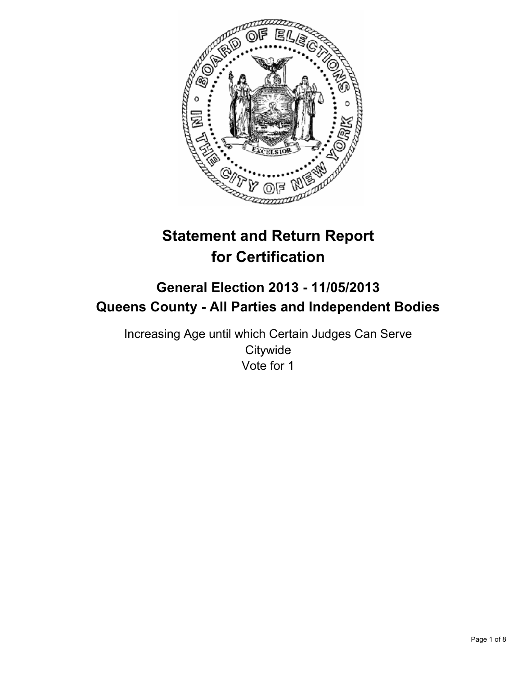

# **Statement and Return Report for Certification**

# **General Election 2013 - 11/05/2013 Queens County - All Parties and Independent Bodies**

Increasing Age until which Certain Judges Can Serve **Citywide** Vote for 1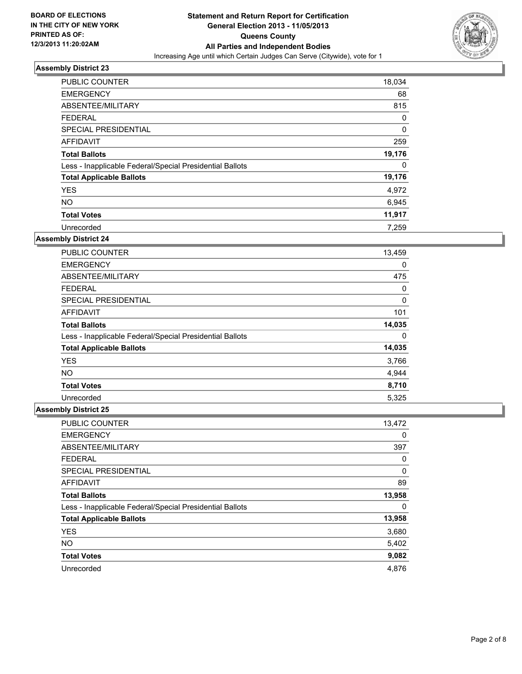

| PUBLIC COUNTER                                           | 18,034 |
|----------------------------------------------------------|--------|
| <b>EMERGENCY</b>                                         | 68     |
| ABSENTEE/MILITARY                                        | 815    |
| <b>FEDERAL</b>                                           | 0      |
| SPECIAL PRESIDENTIAL                                     | 0      |
| AFFIDAVIT                                                | 259    |
| <b>Total Ballots</b>                                     | 19,176 |
| Less - Inapplicable Federal/Special Presidential Ballots | 0      |
| <b>Total Applicable Ballots</b>                          | 19,176 |
| <b>YES</b>                                               | 4,972  |
| <b>NO</b>                                                | 6,945  |
| <b>Total Votes</b>                                       | 11,917 |
| Unrecorded                                               | 7.259  |

# **Assembly District 24**

| <b>PUBLIC COUNTER</b>                                    | 13,459 |
|----------------------------------------------------------|--------|
| <b>EMERGENCY</b>                                         | 0      |
| ABSENTEE/MILITARY                                        | 475    |
| <b>FEDERAL</b>                                           | 0      |
| <b>SPECIAL PRESIDENTIAL</b>                              | 0      |
| AFFIDAVIT                                                | 101    |
| <b>Total Ballots</b>                                     | 14,035 |
| Less - Inapplicable Federal/Special Presidential Ballots | 0      |
| <b>Total Applicable Ballots</b>                          | 14,035 |
| <b>YES</b>                                               | 3,766  |
| <b>NO</b>                                                | 4,944  |
| <b>Total Votes</b>                                       | 8,710  |
| Unrecorded                                               | 5,325  |

| PUBLIC COUNTER                                           | 13,472 |
|----------------------------------------------------------|--------|
| <b>EMERGENCY</b>                                         | 0      |
| ABSENTEE/MILITARY                                        | 397    |
| <b>FEDERAL</b>                                           | 0      |
| SPECIAL PRESIDENTIAL                                     | 0      |
| AFFIDAVIT                                                | 89     |
| <b>Total Ballots</b>                                     | 13,958 |
| Less - Inapplicable Federal/Special Presidential Ballots | 0      |
| <b>Total Applicable Ballots</b>                          | 13,958 |
| <b>YES</b>                                               | 3,680  |
| <b>NO</b>                                                | 5,402  |
| <b>Total Votes</b>                                       | 9,082  |
| Unrecorded                                               | 4,876  |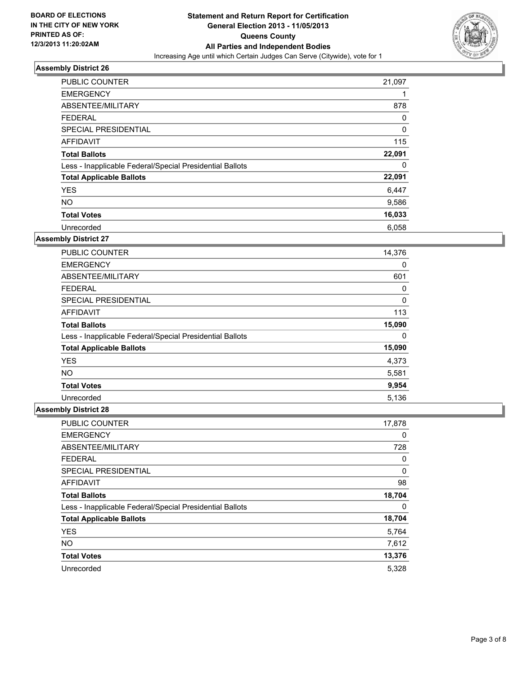

| <b>PUBLIC COUNTER</b>                                    | 21,097 |
|----------------------------------------------------------|--------|
| <b>EMERGENCY</b>                                         |        |
| ABSENTEE/MILITARY                                        | 878    |
| FEDERAL                                                  | 0      |
| <b>SPECIAL PRESIDENTIAL</b>                              | 0      |
| <b>AFFIDAVIT</b>                                         | 115    |
| <b>Total Ballots</b>                                     | 22,091 |
| Less - Inapplicable Federal/Special Presidential Ballots | 0      |
| <b>Total Applicable Ballots</b>                          | 22,091 |
| <b>YES</b>                                               | 6,447  |
| <b>NO</b>                                                | 9,586  |
| <b>Total Votes</b>                                       | 16,033 |
| Unrecorded                                               | 6,058  |

# **Assembly District 27**

| <b>PUBLIC COUNTER</b>                                    | 14,376 |
|----------------------------------------------------------|--------|
| <b>EMERGENCY</b>                                         | 0      |
| ABSENTEE/MILITARY                                        | 601    |
| <b>FEDERAL</b>                                           | 0      |
| <b>SPECIAL PRESIDENTIAL</b>                              | 0      |
| AFFIDAVIT                                                | 113    |
| <b>Total Ballots</b>                                     | 15,090 |
| Less - Inapplicable Federal/Special Presidential Ballots | 0      |
| <b>Total Applicable Ballots</b>                          | 15,090 |
| <b>YES</b>                                               | 4,373  |
| <b>NO</b>                                                | 5,581  |
| <b>Total Votes</b>                                       | 9,954  |
| Unrecorded                                               | 5,136  |

| PUBLIC COUNTER                                           | 17,878 |
|----------------------------------------------------------|--------|
| <b>EMERGENCY</b>                                         | 0      |
| ABSENTEE/MILITARY                                        | 728    |
| <b>FEDERAL</b>                                           | 0      |
| SPECIAL PRESIDENTIAL                                     | 0      |
| AFFIDAVIT                                                | 98     |
| <b>Total Ballots</b>                                     | 18,704 |
| Less - Inapplicable Federal/Special Presidential Ballots | 0      |
| <b>Total Applicable Ballots</b>                          | 18,704 |
| <b>YES</b>                                               | 5,764  |
| <b>NO</b>                                                | 7,612  |
| <b>Total Votes</b>                                       | 13,376 |
| Unrecorded                                               | 5,328  |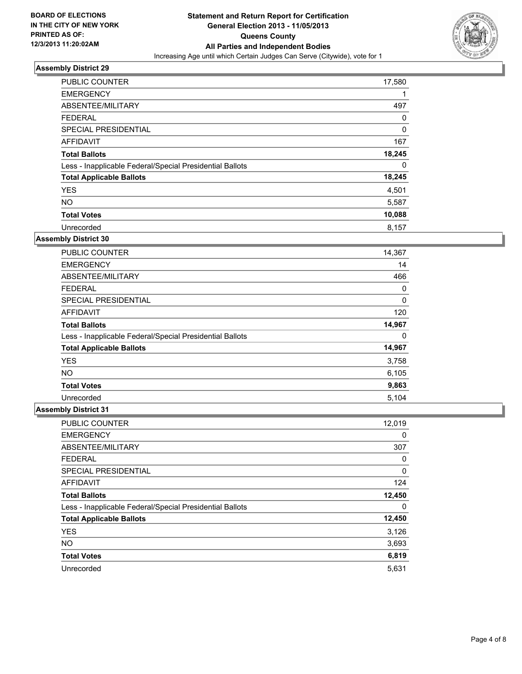

| PUBLIC COUNTER                                           | 17,580 |
|----------------------------------------------------------|--------|
| <b>EMERGENCY</b>                                         |        |
| ABSENTEE/MILITARY                                        | 497    |
| <b>FEDERAL</b>                                           | 0      |
| SPECIAL PRESIDENTIAL                                     | 0      |
| AFFIDAVIT                                                | 167    |
| <b>Total Ballots</b>                                     | 18,245 |
| Less - Inapplicable Federal/Special Presidential Ballots | 0      |
| <b>Total Applicable Ballots</b>                          | 18,245 |
| <b>YES</b>                                               | 4,501  |
| <b>NO</b>                                                | 5,587  |
| <b>Total Votes</b>                                       | 10,088 |
| Unrecorded                                               | 8,157  |

# **Assembly District 30**

| PUBLIC COUNTER                                           | 14,367 |
|----------------------------------------------------------|--------|
| <b>EMERGENCY</b>                                         | 14     |
| ABSENTEE/MILITARY                                        | 466    |
| <b>FEDERAL</b>                                           | 0      |
| <b>SPECIAL PRESIDENTIAL</b>                              | 0      |
| AFFIDAVIT                                                | 120    |
| <b>Total Ballots</b>                                     | 14,967 |
| Less - Inapplicable Federal/Special Presidential Ballots | 0      |
| <b>Total Applicable Ballots</b>                          | 14,967 |
| <b>YES</b>                                               | 3,758  |
| <b>NO</b>                                                | 6,105  |
| <b>Total Votes</b>                                       | 9,863  |
| Unrecorded                                               | 5.104  |

| PUBLIC COUNTER                                           | 12,019 |
|----------------------------------------------------------|--------|
| <b>EMERGENCY</b>                                         | 0      |
| ABSENTEE/MILITARY                                        | 307    |
| <b>FEDERAL</b>                                           | 0      |
| SPECIAL PRESIDENTIAL                                     | 0      |
| AFFIDAVIT                                                | 124    |
| <b>Total Ballots</b>                                     | 12,450 |
| Less - Inapplicable Federal/Special Presidential Ballots | 0      |
| <b>Total Applicable Ballots</b>                          | 12,450 |
| <b>YES</b>                                               | 3,126  |
| <b>NO</b>                                                | 3,693  |
| <b>Total Votes</b>                                       | 6,819  |
| Unrecorded                                               | 5,631  |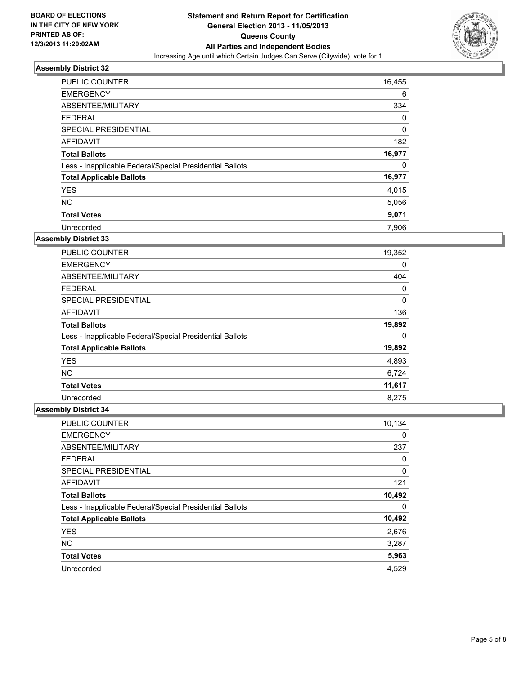

| <b>PUBLIC COUNTER</b>                                    | 16,455 |
|----------------------------------------------------------|--------|
| <b>EMERGENCY</b>                                         | 6      |
| ABSENTEE/MILITARY                                        | 334    |
| <b>FEDERAL</b>                                           | 0      |
| SPECIAL PRESIDENTIAL                                     | 0      |
| AFFIDAVIT                                                | 182    |
| <b>Total Ballots</b>                                     | 16,977 |
| Less - Inapplicable Federal/Special Presidential Ballots | 0      |
| <b>Total Applicable Ballots</b>                          | 16,977 |
| <b>YES</b>                                               | 4,015  |
| <b>NO</b>                                                | 5,056  |
| <b>Total Votes</b>                                       | 9,071  |
| Unrecorded                                               | 7.906  |

# **Assembly District 33**

| <b>PUBLIC COUNTER</b>                                    | 19,352 |
|----------------------------------------------------------|--------|
| <b>EMERGENCY</b>                                         | 0      |
| ABSENTEE/MILITARY                                        | 404    |
| <b>FEDERAL</b>                                           | 0      |
| <b>SPECIAL PRESIDENTIAL</b>                              | 0      |
| AFFIDAVIT                                                | 136    |
| <b>Total Ballots</b>                                     | 19,892 |
| Less - Inapplicable Federal/Special Presidential Ballots | 0      |
| <b>Total Applicable Ballots</b>                          | 19,892 |
| <b>YES</b>                                               | 4,893  |
| <b>NO</b>                                                | 6,724  |
| <b>Total Votes</b>                                       | 11,617 |
| Unrecorded                                               | 8.275  |

| <b>PUBLIC COUNTER</b>                                    | 10,134 |
|----------------------------------------------------------|--------|
| <b>EMERGENCY</b>                                         | 0      |
| ABSENTEE/MILITARY                                        | 237    |
| <b>FEDERAL</b>                                           | 0      |
| SPECIAL PRESIDENTIAL                                     | 0      |
| AFFIDAVIT                                                | 121    |
| <b>Total Ballots</b>                                     | 10,492 |
| Less - Inapplicable Federal/Special Presidential Ballots | 0      |
| <b>Total Applicable Ballots</b>                          | 10,492 |
| <b>YES</b>                                               | 2,676  |
| <b>NO</b>                                                | 3,287  |
| <b>Total Votes</b>                                       | 5,963  |
| Unrecorded                                               | 4,529  |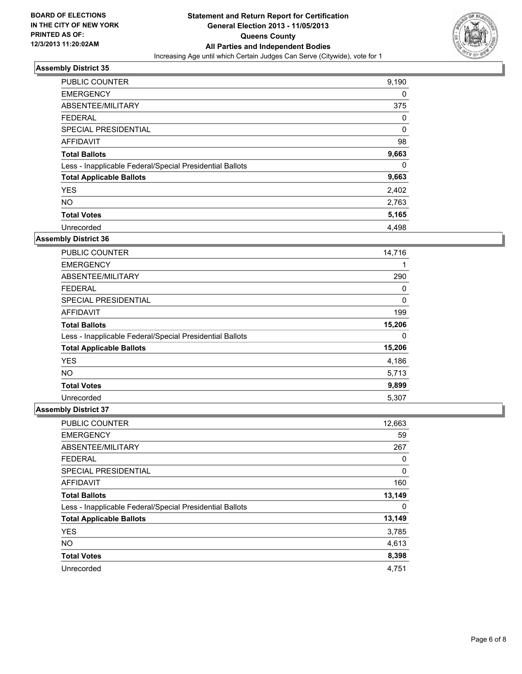

| <b>PUBLIC COUNTER</b>                                    | 9,190 |
|----------------------------------------------------------|-------|
| <b>EMERGENCY</b>                                         | 0     |
| ABSENTEE/MILITARY                                        | 375   |
| <b>FEDERAL</b>                                           | 0     |
| SPECIAL PRESIDENTIAL                                     | 0     |
| AFFIDAVIT                                                | 98    |
| <b>Total Ballots</b>                                     | 9,663 |
| Less - Inapplicable Federal/Special Presidential Ballots | 0     |
| <b>Total Applicable Ballots</b>                          | 9,663 |
| <b>YES</b>                                               | 2,402 |
| <b>NO</b>                                                | 2,763 |
| <b>Total Votes</b>                                       | 5,165 |
| Unrecorded                                               | 4.498 |

# **Assembly District 36**

| <b>PUBLIC COUNTER</b>                                    | 14,716 |
|----------------------------------------------------------|--------|
| <b>EMERGENCY</b>                                         |        |
| ABSENTEE/MILITARY                                        | 290    |
| <b>FEDERAL</b>                                           | 0      |
| <b>SPECIAL PRESIDENTIAL</b>                              | 0      |
| AFFIDAVIT                                                | 199    |
| <b>Total Ballots</b>                                     | 15,206 |
| Less - Inapplicable Federal/Special Presidential Ballots | 0      |
| <b>Total Applicable Ballots</b>                          | 15,206 |
| <b>YES</b>                                               | 4,186  |
| <b>NO</b>                                                | 5,713  |
| <b>Total Votes</b>                                       | 9,899  |
| Unrecorded                                               | 5,307  |

| <b>PUBLIC COUNTER</b>                                    | 12,663 |
|----------------------------------------------------------|--------|
| <b>EMERGENCY</b>                                         | 59     |
| ABSENTEE/MILITARY                                        | 267    |
| <b>FEDERAL</b>                                           | 0      |
| SPECIAL PRESIDENTIAL                                     | 0      |
| <b>AFFIDAVIT</b>                                         | 160    |
| <b>Total Ballots</b>                                     | 13,149 |
| Less - Inapplicable Federal/Special Presidential Ballots | 0      |
| <b>Total Applicable Ballots</b>                          | 13,149 |
| <b>YES</b>                                               | 3,785  |
| <b>NO</b>                                                | 4,613  |
| <b>Total Votes</b>                                       | 8,398  |
| Unrecorded                                               | 4,751  |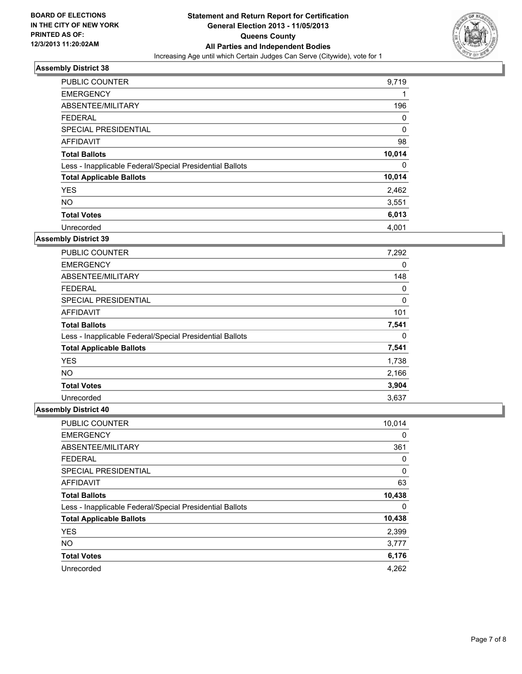

| <b>PUBLIC COUNTER</b>                                    | 9,719  |
|----------------------------------------------------------|--------|
| <b>EMERGENCY</b>                                         | 1      |
| ABSENTEE/MILITARY                                        | 196    |
| <b>FEDERAL</b>                                           | 0      |
| SPECIAL PRESIDENTIAL                                     | 0      |
| <b>AFFIDAVIT</b>                                         | 98     |
| <b>Total Ballots</b>                                     | 10,014 |
| Less - Inapplicable Federal/Special Presidential Ballots | 0      |
| <b>Total Applicable Ballots</b>                          | 10,014 |
| <b>YES</b>                                               | 2,462  |
| <b>NO</b>                                                | 3,551  |
| <b>Total Votes</b>                                       | 6,013  |
| Unrecorded                                               | 4,001  |

# **Assembly District 39**

| <b>PUBLIC COUNTER</b>                                    | 7,292 |
|----------------------------------------------------------|-------|
| <b>EMERGENCY</b>                                         | 0     |
| ABSENTEE/MILITARY                                        | 148   |
| <b>FEDERAL</b>                                           | 0     |
| SPECIAL PRESIDENTIAL                                     | 0     |
| <b>AFFIDAVIT</b>                                         | 101   |
| <b>Total Ballots</b>                                     | 7,541 |
| Less - Inapplicable Federal/Special Presidential Ballots | 0     |
| <b>Total Applicable Ballots</b>                          | 7,541 |
| <b>YES</b>                                               | 1,738 |
| <b>NO</b>                                                | 2,166 |
| <b>Total Votes</b>                                       | 3,904 |
| Unrecorded                                               | 3,637 |

| <b>PUBLIC COUNTER</b>                                    | 10,014 |
|----------------------------------------------------------|--------|
| <b>EMERGENCY</b>                                         | 0      |
| ABSENTEE/MILITARY                                        | 361    |
| <b>FEDERAL</b>                                           | 0      |
| SPECIAL PRESIDENTIAL                                     | 0      |
| AFFIDAVIT                                                | 63     |
| <b>Total Ballots</b>                                     | 10,438 |
| Less - Inapplicable Federal/Special Presidential Ballots | 0      |
| <b>Total Applicable Ballots</b>                          | 10,438 |
| <b>YES</b>                                               | 2,399  |
| <b>NO</b>                                                | 3,777  |
| <b>Total Votes</b>                                       | 6,176  |
| Unrecorded                                               | 4,262  |